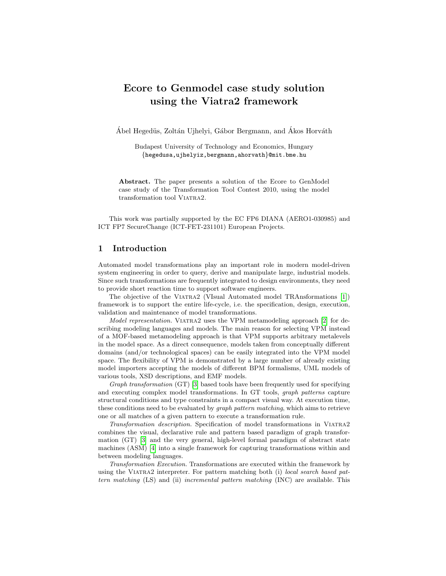# Ecore to Genmodel case study solution using the Viatra2 framework

Ábel Hegedüs, Zoltán Ujhelyi, Gábor Bergmann, and Ákos Horváth

Budapest University of Technology and Economics, Hungary {hegedusa,ujhelyiz,bergmann,ahorvath}@mit.bme.hu

Abstract. The paper presents a solution of the Ecore to GenModel case study of the Transformation Tool Contest 2010, using the model transformation tool Viatra2.

This work was partially supported by the EC FP6 DIANA (AERO1-030985) and ICT FP7 SecureChange (ICT-FET-231101) European Projects.

## 1 Introduction

Automated model transformations play an important role in modern model-driven system engineering in order to query, derive and manipulate large, industrial models. Since such transformations are frequently integrated to design environments, they need to provide short reaction time to support software engineers.

The objective of the VIATRA2 (VIsual Automated model TRAnsformations [\[1\]](#page-4-0)) framework is to support the entire life-cycle, i.e. the specification, design, execution, validation and maintenance of model transformations.

Model representation. VIATRA2 uses the VPM metamodeling approach [\[2\]](#page-4-1) for describing modeling languages and models. The main reason for selecting VPM instead of a MOF-based metamodeling approach is that VPM supports arbitrary metalevels in the model space. As a direct consequence, models taken from conceptually different domains (and/or technological spaces) can be easily integrated into the VPM model space. The flexibility of VPM is demonstrated by a large number of already existing model importers accepting the models of different BPM formalisms, UML models of various tools, XSD descriptions, and EMF models.

Graph transformation (GT) [\[3\]](#page-5-0) based tools have been frequently used for specifying and executing complex model transformations. In GT tools, graph patterns capture structural conditions and type constraints in a compact visual way. At execution time, these conditions need to be evaluated by *graph pattern matching*, which aims to retrieve one or all matches of a given pattern to execute a transformation rule.

Transformation description. Specification of model transformations in Viatra2 combines the visual, declarative rule and pattern based paradigm of graph transformation (GT) [\[3\]](#page-5-0) and the very general, high-level formal paradigm of abstract state machines (ASM) [\[4\]](#page-5-1) into a single framework for capturing transformations within and between modeling languages.

Transformation Execution. Transformations are executed within the framework by using the VIATRA2 interpreter. For pattern matching both (i) local search based pattern matching (LS) and (ii) incremental pattern matching (INC) are available. This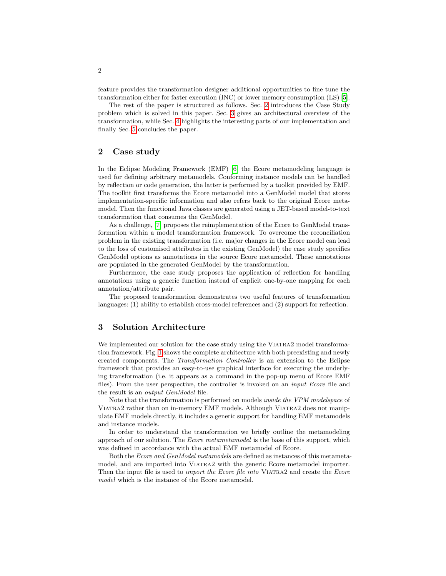feature provides the transformation designer additional opportunities to fine tune the transformation either for faster execution (INC) or lower memory consumption (LS) [\[5\]](#page-5-2).

The rest of the paper is structured as follows. Sec. [2](#page-1-0) introduces the Case Study problem which is solved in this paper. Sec. [3](#page-1-1) gives an architectural overview of the transformation, while Sec. [4](#page-2-0) highlights the interesting parts of our implementation and finally Sec. [5](#page-4-2) concludes the paper.

# <span id="page-1-0"></span>2 Case study

In the Eclipse Modeling Framework (EMF) [\[6\]](#page-5-3) the Ecore metamodeling language is used for defining arbitrary metamodels. Conforming instance models can be handled by reflection or code generation, the latter is performed by a toolkit provided by EMF. The toolkit first transforms the Ecore metamodel into a GenModel model that stores implementation-specific information and also refers back to the original Ecore metamodel. Then the functional Java classes are generated using a JET-based model-to-text transformation that consumes the GenModel.

As a challenge, [\[7\]](#page-5-4) proposes the reimplementation of the Ecore to GenModel transformation within a model transformation framework. To overcome the reconciliation problem in the existing transformation (i.e. major changes in the Ecore model can lead to the loss of customised attributes in the existing GenModel) the case study specifies GenModel options as annotations in the source Ecore metamodel. These annotations are populated in the generated GenModel by the transformation.

Furthermore, the case study proposes the application of reflection for handling annotations using a generic function instead of explicit one-by-one mapping for each annotation/attribute pair.

The proposed transformation demonstrates two useful features of transformation languages: (1) ability to establish cross-model references and (2) support for reflection.

#### <span id="page-1-1"></span>3 Solution Architecture

We implemented our solution for the case study using the VIATRA2 model transformation framework. Fig. [1](#page-2-1) shows the complete architecture with both preexisting and newly created components. The Transformation Controller is an extension to the Eclipse framework that provides an easy-to-use graphical interface for executing the underlying transformation (i.e. it appears as a command in the pop-up menu of Ecore EMF files). From the user perspective, the controller is invoked on an input Ecore file and the result is an output GenModel file.

Note that the transformation is performed on models inside the VPM modelspace of Viatra2 rather than on in-memory EMF models. Although Viatra2 does not manipulate EMF models directly, it includes a generic support for handling EMF metamodels and instance models.

In order to understand the transformation we briefly outline the metamodeling approach of our solution. The Ecore metametamodel is the base of this support, which was defined in accordance with the actual EMF metamodel of Ecore.

Both the Ecore and GenModel metamodels are defined as instances of this metametamodel, and are imported into Viatra2 with the generic Ecore metamodel importer. Then the input file is used to *import the Ecore file into* VIATRA2 and create the *Ecore* model which is the instance of the Ecore metamodel.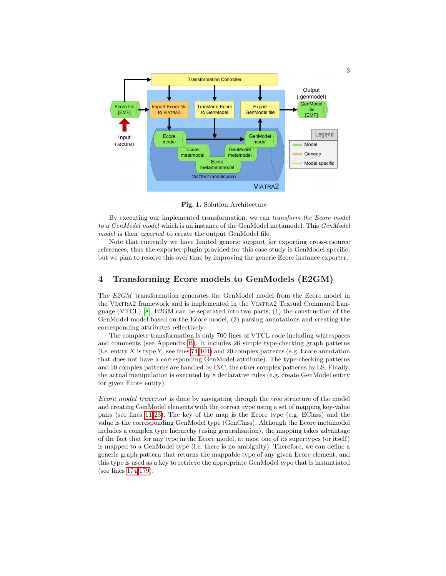

<span id="page-2-1"></span>Fig. 1. Solution Architecture

By executing our implemented transformation, we can transform the Ecore model to a GenModel model which is an instance of the GenModel metamodel. This GenModel model is then *exported* to create the output GenModel file.

Note that currently we have limited generic support for exporting cross-resource references, thus the exporter plugin provided for this case study is GenModel-specific, but we plan to resolve this over time by improving the generic Ecore instance exporter.

#### <span id="page-2-0"></span>4 Transforming Ecore models to GenModels (E2GM)

The E2GM transformation generates the GenModel model from the Ecore model in the Viatra2 framework and is implemented in the Viatra2 Textual Command Language (VTCL) [\[8\]](#page-5-5). E2GM can be separated into two parts, (1) the construction of the GenModel model based on the Ecore model, (2) parsing annotations and creating the corresponding attributes reflectively.

The complete transformation is only 700 lines of VTCL code including whitespaces and comments (see Appendix [B\)](#page-5-6). It includes 26 simple type-checking graph patterns (i.e. entity X is type Y, see lines  $74-104$ ) and 20 complex patterns (e.g. Ecore annotation that does not have a corresponding GenModel attribute). The type-checking patterns and 10 complex patterns are handled by INC, the other complex patterns by LS. Finally, the actual manipulation is executed by 8 declarative rules (e.g. create GenModel entity for given Ecore entity).

Ecore model traversal is done by navigating through the tree structure of the model and creating GenModel elements with the correct type using a set of mapping key-value pairs (see lines [11-](#page-5-7)[23\)](#page-5-8). The key of the map is the Ecore type (e.g. EClass) and the value is the corresponding GenModel type (GenClass). Although the Ecore metamodel includes a complex type hierarchy (using generalisation), the mapping takes advantage of the fact that for any type in the Ecore model, at most one of its supertypes (or itself) is mapped to a GenModel type (i.e. there is no ambiguity). Therefore, we can define a generic graph pattern that returns the mappable type of any given Ecore element, and this type is used as a key to retrieve the appropriate GenModel type that is instantiated (see lines [174](#page-8-0)[-179\)](#page-8-1).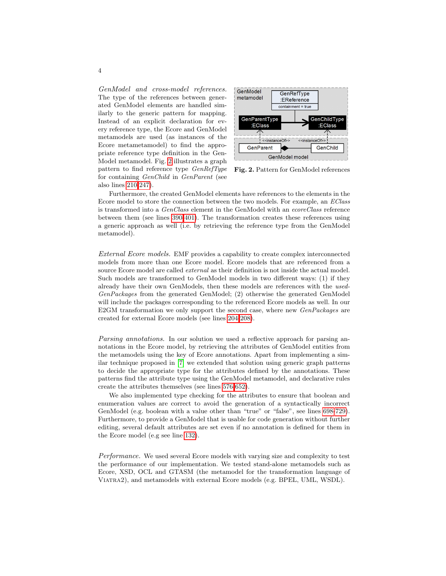GenModel and cross-model references. The type of the references between generated GenModel elements are handled similarly to the generic pattern for mapping. Instead of an explicit declaration for every reference type, the Ecore and GenModel metamodels are used (as instances of the Ecore metametamodel) to find the appropriate reference type definition in the Gen-Model metamodel. Fig. [2](#page-3-0) illustrates a graph pattern to find reference type GenRefType for containing GenChild in GenParent (see also lines [210](#page-8-2)[-247\)](#page-9-0).



<span id="page-3-0"></span>Fig. 2. Pattern for GenModel references

Furthermore, the created GenModel elements have references to the elements in the Ecore model to store the connection between the two models. For example, an EClass is transformed into a GenClass element in the GenModel with an ecoreClass reference between them (see lines [390](#page-11-0)[-401\)](#page-11-1). The transformation creates these references using a generic approach as well (i.e. by retrieving the reference type from the GenModel metamodel).

External Ecore models. EMF provides a capability to create complex interconnected models from more than one Ecore model. Ecore models that are referenced from a source Ecore model are called *external* as their definition is not inside the actual model. Such models are transformed to GenModel models in two different ways: (1) if they already have their own GenModels, then these models are references with the used-GenPackages from the generated GenModel; (2) otherwise the generated GenModel will include the packages corresponding to the referenced Ecore models as well. In our E2GM transformation we only support the second case, where new *GenPackages* are created for external Ecore models (see lines [204-](#page-8-3)[208\)](#page-8-4).

Parsing annotations. In our solution we used a reflective approach for parsing annotations in the Ecore model, by retrieving the attributes of GenModel entities from the metamodels using the key of Ecore annotations. Apart from implementing a similar technique proposed in [\[7\]](#page-5-4) we extended that solution using generic graph patterns to decide the appropriate type for the attributes defined by the annotations. These patterns find the attribute type using the GenModel metamodel, and declarative rules create the attributes themselves (see lines [576-](#page-14-0)[652\)](#page-15-0).

We also implemented type checking for the attributes to ensure that boolean and enumeration values are correct to avoid the generation of a syntactically incorrect GenModel (e.g. boolean with a value other than "true" or "false", see lines [698-](#page-15-1)[729\)](#page-16-0). Furthermore, to provide a GenModel that is usable for code generation without further editing, several default attributes are set even if no annotation is defined for them in the Ecore model (e.g see line [132\)](#page-7-1).

Performance. We used several Ecore models with varying size and complexity to test the performance of our implementation. We tested stand-alone metamodels such as Ecore, XSD, OCL and GTASM (the metamodel for the transformation language of Viatra2), and metamodels with external Ecore models (e.g. BPEL, UML, WSDL).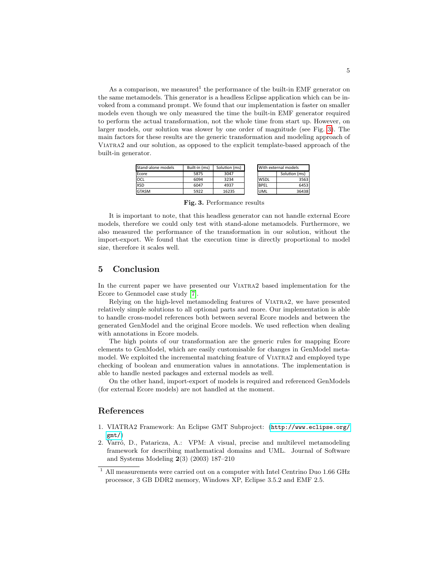As a comparison, we measured<sup>1</sup> the performance of the built-in EMF generator on the same metamodels. This generator is a headless Eclipse application which can be invoked from a command prompt. We found that our implementation is faster on smaller models even though we only measured the time the built-in EMF generator required to perform the actual transformation, not the whole time from start up. However, on larger models, our solution was slower by one order of magnitude (see Fig. [3\)](#page-4-3). The main factors for these results are the generic transformation and modeling approach of Viatra2 and our solution, as opposed to the explicit template-based approach of the built-in generator.

| Stand-alone models | Built-in (ms) | Solution (ms) |              | With external models |  |
|--------------------|---------------|---------------|--------------|----------------------|--|
| Ecore              | 5875          | 3047          |              | Solution (ms)        |  |
| locl               | 6094          | 3234          | <b>IWSDL</b> |                      |  |
| <b>XSD</b>         | 6047          | 4937          | <b>BPEL</b>  |                      |  |
| <b>GTASM</b>       | 5922          | 16235         | <b>UML</b>   |                      |  |

<span id="page-4-3"></span>Fig. 3. Performance results

It is important to note, that this headless generator can not handle external Ecore models, therefore we could only test with stand-alone metamodels. Furthermore, we also measured the performance of the transformation in our solution, without the import-export. We found that the execution time is directly proportional to model size, therefore it scales well.

## <span id="page-4-2"></span>5 Conclusion

In the current paper we have presented our Viatra2 based implementation for the Ecore to Genmodel case study [\[7\]](#page-5-4).

Relying on the high-level metamodeling features of Viatra2, we have presented relatively simple solutions to all optional parts and more. Our implementation is able to handle cross-model references both between several Ecore models and between the generated GenModel and the original Ecore models. We used reflection when dealing with annotations in Ecore models.

The high points of our transformation are the generic rules for mapping Ecore elements to GenModel, which are easily customisable for changes in GenModel metamodel. We exploited the incremental matching feature of Viatra2 and employed type checking of boolean and enumeration values in annotations. The implementation is able to handle nested packages and external models as well.

On the other hand, import-export of models is required and referenced GenModels (for external Ecore models) are not handled at the moment.

#### References

- <span id="page-4-0"></span>1. VIATRA2 Framework: An Eclipse GMT Subproject: ([http://www.eclipse.org/](http://www.eclipse.org/gmt/) [gmt/](http://www.eclipse.org/gmt/))
- <span id="page-4-1"></span>2. Varró, D., Pataricza, A.: VPM: A visual, precise and multilevel metamodeling framework for describing mathematical domains and UML. Journal of Software and Systems Modeling 2(3) (2003) 187–210

 $^{\rm 1}$  All measurements were carried out on a computer with Intel Centrino Duo 1.66 GHz processor, 3 GB DDR2 memory, Windows XP, Eclipse 3.5.2 and EMF 2.5.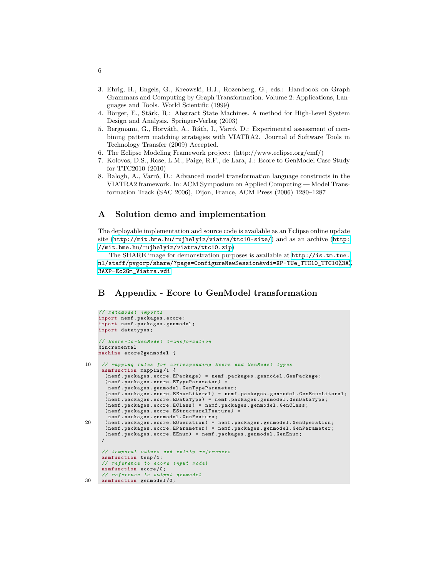- <span id="page-5-0"></span>3. Ehrig, H., Engels, G., Kreowski, H.J., Rozenberg, G., eds.: Handbook on Graph Grammars and Computing by Graph Transformation. Volume 2: Applications, Languages and Tools. World Scientific (1999)
- <span id="page-5-1"></span>4. Börger, E., Stärk, R.: Abstract State Machines. A method for High-Level System Design and Analysis. Springer-Verlag (2003)
- <span id="page-5-2"></span>5. Bergmann, G., Horváth, A., Ráth, I., Varró, D.: Experimental assessment of combining pattern matching strategies with VIATRA2. Journal of Software Tools in Technology Transfer (2009) Accepted.
- <span id="page-5-3"></span>6. The Eclipse Modeling Framework project: (http://www.eclipse.org/emf/)
- <span id="page-5-4"></span>7. Kolovos, D.S., Rose, L.M., Paige, R.F., de Lara, J.: Ecore to GenModel Case Study for TTC2010 (2010)
- <span id="page-5-5"></span>8. Balogh, A., Varró, D.: Advanced model transformation language constructs in the VIATRA2 framework. In: ACM Symposium on Applied Computing — Model Transformation Track (SAC 2006), Dijon, France, ACM Press (2006) 1280–1287

## A Solution demo and implementation

The deployable implementation and source code is available as an Eclipse online update site (<http://mit.bme.hu/~ujhelyiz/viatra/ttc10-site/>) and as an archive ([http:](http://mit.bme.hu/~ujhelyiz/viatra/ttc10.zip) [//mit.bme.hu/~ujhelyiz/viatra/ttc10.zip](http://mit.bme.hu/~ujhelyiz/viatra/ttc10.zip))

The SHARE image for demonstration purposes is available at [http://is.tm.tue.](http://is.tm.tue.nl/staff/pvgorp/share/?page=ConfigureNewSession&vdi=XP-TUe_TTC10_TTC10%3A%3AXP-Ec2Gm_Viatra.vdi) [nl/staff/pvgorp/share/?page=ConfigureNewSession&vdi=XP-TUe\\_TTC10\\_TTC10%3A%](http://is.tm.tue.nl/staff/pvgorp/share/?page=ConfigureNewSession&vdi=XP-TUe_TTC10_TTC10%3A%3AXP-Ec2Gm_Viatra.vdi) [3AXP-Ec2Gm\\_Viatra.vdi](http://is.tm.tue.nl/staff/pvgorp/share/?page=ConfigureNewSession&vdi=XP-TUe_TTC10_TTC10%3A%3AXP-Ec2Gm_Viatra.vdi)

# <span id="page-5-6"></span>B Appendix - Ecore to GenModel transformation

```
// metamodel imports
     import nemf . packages . ecore ;
     import nemf . packages . genmodel ;
     import datatypes ;
     // Ecore-to-GenModel transformation
     @incremental
     machine ecore2genmodel {
10 // mapping rules for corresponding Ecore and GenModel types
      asmfunction mapping /1 {
       ( nemf . packages . ecore . EPackage ) = nemf . packages . genmodel . GenPackage ;
       ( nemf . packages . ecore . ETypeParameter ) =
        nemf . packages . genmodel . GenTypeParameter ;
       ( nemf . packages . ecore . EEnumLiteral ) = nemf . packages . genmodel . GenEnumLiteral ;
       ( nemf . packages . ecore . EDataType ) = nemf . packages . genmodel . GenDataType ;
       ( nemf . packages . ecore . EClass ) = nemf . packages . genmodel . GenClass ;
       ( nemf . packages . ecore . EStructuralFeature ) =
        nemf . packages . genmodel . GenFeature ;
20 ( nemf . packages . ecore . EOperation ) = nemf . packages . genmodel . GenOperation ;
( nemf . packages . ecore . EParameter ) = nemf . packages . genmodel . GenParameter ;
       ( nemf . packages . ecore . EEnum ) = nemf . packages . genmodel . GenEnum ;
      }
      // temporal values and entity references
      asmfunction temp /1;
      // reference to ecore input model
      asmfunction ecore /0;
// reference to output genmodel
30 asmfunction genmodel /0;
```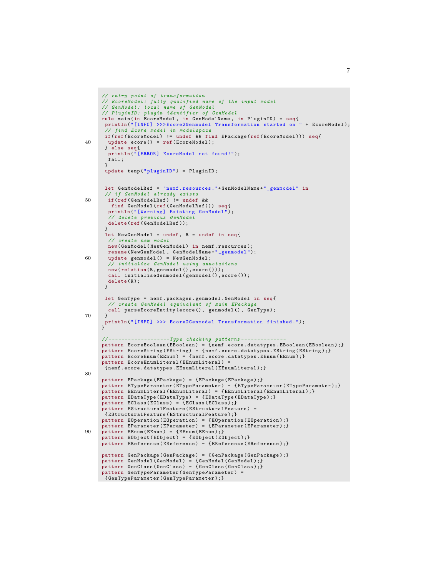```
// entry point of transformation
     // EcoreModel : fully qualified name of the input model
     // GenModel : local name of GenModel
     // PluginID : plugin identifier of GenModel
      rule main(in EcoreModel, in GenModelName, in PluginID) = seq{<br>println("[INFO] >>>Ecore2Genmodel Transformation started on " + EcoreModel);
         find Ecore model in modelspace
      if( ref (EcoreModel) != undef && find EPackage (ref (EcoreModel))) seq{
40 update ecore () = ref ( EcoreModel );
      } else seq {
       println ("[ERROR] EcoreModel not found!");
        fail ;
      }
      update temp ("pluginID") = PluginID;
      let GenModelRef = " nemf . resources ."+ GenModelName +" _genmodel " in
      // if GenModel already exists
50 if( ref ( GenModelRef ) != undef &&
        find GenModel (ref (GenModelRef))) seq{
       println ("[Warning] Existing GenModel");
        // delete previous GenModel
delete ( ref ( GenModelRef ));
       }
       let NewGenModel = undef, R = undef in seq{
       // create new model
       new ( GenModel ( New GenModel ) in nemf . resources ) :
rename (NewGenModel, GenModelName+"_genmodel");<br>60 update genmodel () = NewGenModel;
        // initialize GenModel using annotations
       new (relation (R, genmodel (), ecore ()));
       call initialiseGenmodel ( genmodel () , ecore ());
       delete(R):
      }
      let GenType = nemf . packages . genmodel . GenModel in seq{
       // create GenModel equivalent of main EPackage
       call parseEcoreEntity (ecore(), genmodel(), GenType);
70 }<br>println("[INFO] >>> Ecore2Genmodel Transformation finished.");<br>}
      \frac{1}{2} --------------------------- Type checking patterns -
     pattern EcoreBoolean (EBoolean) = {nemf.ecore.datatypes.EBoolean (EBoolean);}
     pattern EcoreString (EString) = {nemf.ecore.datatypes.EString (EString);}
     pattern EcoreEnum (EEnum) = {nemf.ecore.datatypes.EEnum (EEnum);}
     pattern EcoreEnumLiteral (EEnumLiteral) =
       { nemf . ecore . datatypes . EEnumLiteral ( EEnumLiteral );}
80
     pattern EPackage ( EPackage ) = { EPackage ( EPackage );}
     pattern ETypeParameter (ETypeParameter) = {ETypeParameter (ETypeParameter);}
     pattern EEnumLiteral ( EEnumLiteral ) = { EEnumLiteral ( EEnumLiteral ) ; }
     pattern EDataType (EDataType) = {EDataType (EDataType); }
     pattern EClass (EClass) = {EClass (EClass); }
     pattern EStructuralFeature (EStructuralFeature) =
      { EStructuralFeature ( EStructuralFeature );}
     pattern EOperation (EOperation) = {EOperation (EOperation);}
     pattern EParameter (EParameter) = {EParameter (EParameter);}
90 pattern EEnum (EEnum) = {EEnum (EEnum) ; }
     pattern EDbject (EDbject) = {EDbject (EDbject)};pattern EReference (EReference) = {EReference (EReference);}
     pattern GenPackage ( GenPackage ) = { GenPackage ( GenPackage );}
      pattern GenModel ( GenModel ) = { GenModel ( GenModel );}
pattern GenClass ( GenClass ) = { GenClass ( GenClass );}
     pattern GenTypeParameter ( GenTypeParameter ) =
     { GenTypeParameter ( GenTypeParameter );}
```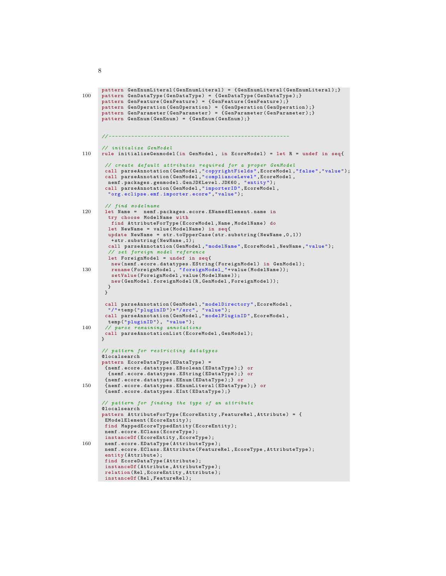```
pattern GenEnumLiteral ( GenEnumLiteral ) = { GenEnumLiteral ( GenEnumLiteral ); }
100 pattern GenDataType (GenDataType) = { GenDataType ( GenDataType ) ; }
       pattern GenFeature ( GenFeature ) = { GenFeature ( GenFeature ) ; }
        pattern GenOperation ( GenOperation ) = { GenOperation ( GenOperation );}
pattern GenParameter ( GenParameter ) = { GenParameter ( GenParameter );}
       pattern GenEnum ( GenEnum ) = { GenEnum ( GenEnum );}
       // - - - - - - - - - - - - - - - - - - - - - - - - - - - - - - - - - - - - - - - - - - - - - - - - - - - - - - - -
       // initialize GenModel
110 rule initialiseGenmodel (in GenModel , in EcoreModel ) = let R = undef in seq {
         // create default attributes required for a proper GenModel
         call parseAnnotation ( GenModel ," copyrightFields ", EcoreModel ," false "," value ");
call parseAnnotation ( GenModel ," complianceLevel ", EcoreModel ,
         nemf . packages . genmodel . GenJDKLevel . JDK60 , " entity ");
call parseAnnotation ( GenModel ," importerID ", EcoreModel ,
          " org . eclipse .emf . importer . ecore "," value ");
         // find modelname
120 let Name = nemf . packages . ecore . ENamedElement . name in
          try choose ModelName with
           find AttributeForType ( EcoreModel , Name , ModelName ) do
          let NewName = value (ModelName) in seq{
          update NewName = str.toUpperCase (str.substring (NewName, 0, 1))+ str . substring ( NewName ,1);
          call parseAnnotation ( GenModel ," modelName ", EcoreModel , NewName ," value ");
          // set foreign model reference
          let ForeignModel = undef in seq {
           new ( nemf . ecore . datatypes . EString ( ForeignModel ) in GenModel );
130 rename ( ForeignModel , " foreignModel_ "+ value ( ModelName ));
setValue ( ForeignModel , value ( ModelName ));
           new ( GenModel . foreignModel (R , GenModel , ForeignModel ));
         }
         }
         call parseAnnotation ( GenModel ," modelDirectory ", EcoreModel ,
         "/"+ temp (" pluginID ")+"/ src ", " value ");
call parseAnnotation ( GenModel ," modelPluginID ", EcoreModel ,
temp ("pluginID"), "value");<br>140 // parse remaining annotations
        call parseAnnotationList ( EcoreModel , GenModel );
       }
        // pattern for restricting datatypes
       @localsearch
       pattern EcoreDataType ( EDataType ) =
         { nemf . ecore . datatypes . EBoolean ( EDataType );} or
          { nemf . ecore . datatypes . EString ( EDataType );} or
         { nemf . ecore . datatypes . EEnum ( EDataType );} or
150 { nemf . ecore . datatypes . EEnumLiteral ( EDataType );} or
         { nemf . ecore . datatypes . EInt ( EDataType );}
        // pattern for finding the type of an attribute
       @localsearch
       pattern AttributeForType ( EcoreEntity , FeatureRel , Attribute ) = {
         EModelElement ( EcoreEntity );
         find MappedEcoreTypedEntity ( EcoreEntity );
        nemf . ecore . EClass ( EcoreType );
         instanceOf ( EcoreEntity , EcoreType );
160 nemf.ecore.EDataType (AttributeType);
         nemf . ecore . EClass . EAttribute ( FeatureRel , EcoreType , AttributeType );
         entity ( Attribute );
         find EcoreDataType ( Attribute );
         instanceOf ( Attribute , AttributeType );
         relation ( Rel , EcoreEntity , Attribute );
        instanceOf (Rel, FeatureRel);
```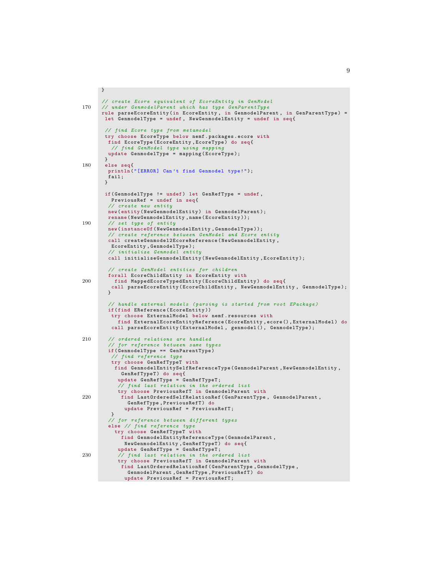```
}
      // create Ecore equivalent of EcoreEntity in GenModel
170 // under GenmodelParent which has type GenParentType
      rule parseEcoreEntity (in EcoreEntity, in GenmodelParent, in GenParentType) =
       let GenmodelType = undef , NewGenmodelEntity = undef in seq {
       // find Ecore type from metamodel
       try choose EcoreType below nemf . packages . ecore with
        find EcoreType ( EcoreEntity , EcoreType ) do seq {
         // find GenModel type using mapping
        update GenmodelType = mapping ( EcoreType );
       }
180 else seq{
        println ("[ERROR] Can't find Genmodel type!");
        fail:
       }
       if( GenmodelType != undef ) let GenRefType = undef ,
         PreviousRef = undef in seq{
        // create new entity
        new ( entity ( NewGenmodelEntity ) in GenmodelParent );
        rename ( NewGenmodelEntity , name ( EcoreEntity ));
190 // set type of entity
        new (instanceOf (NewGenmodelEntity, GenmodelType));
        // create reference between GenModel and Ecore entity
        call createGenmodel2EcoreReference ( NewGenmodelEntity ,
         EcoreEntity , GenmodelType );
        // initialize Genmodel entity
        call initialiseGenmodelEntity ( NewGenmodelEntity , EcoreEntity );
        // create GenModel entities for children
        forall EcoreChildEntity in EcoreEntity with
200 find MappedEcoreTypedEntity (EcoreChildEntity) do seq{
         call parseEcoreEntity ( EcoreChildEntity , NewGenmodelEntity , GenmodelType );
        }
        // handle external models ( parsing is started from root EPackage )
        if( find EReference ( EcoreEntity ))
         try choose ExternalModel below nemf . resources with
           find ExternalEcoreEntityReference ( EcoreEntity , ecore () , ExternalModel ) do
         call parseEcoreEntity ( ExternalModel , genmodel () , GenmodelType );
210 // ordered relations are handled
         // for reference between same types
        if( GenmodelType == GenParentType )
          // find reference type
         try choose GenRefTypeT with
          find GenmodelEntitySelfReferenceType ( GenmodelParent , NewGenmodelEntity ,
            GenRefTypeT) do seq{
           update GenRefType = GenRefTypeT ;
           // find last relation in the ordered list
           try choose PreviousRefT in GenmodelParent with
220 find LastOrderedSelfRelationRef ( GenParentType , GenmodelParent ,
               GenRefType , PreviousRefT ) do
             update PreviousRef = PreviousRefT ;
         }
// for reference between different types
        else // find reference type
          try choose GenRefTypeT with
             find GenmodelEntityReferenceType ( GenmodelParent ,
NewGenmodelEntity, GenRefTypeT) do seq{<br>update GenRefType = GenRefTypeT;<br>230 // find last relation in the ordered list
           try choose PreviousRefT in GenmodelParent with
            find LastOrderedRelationRef ( GenParentType , GenmodelType ,
              GenmodelParent , GenRefType , PreviousRefT ) do
             update PreviousRef = PreviousRefT ;
```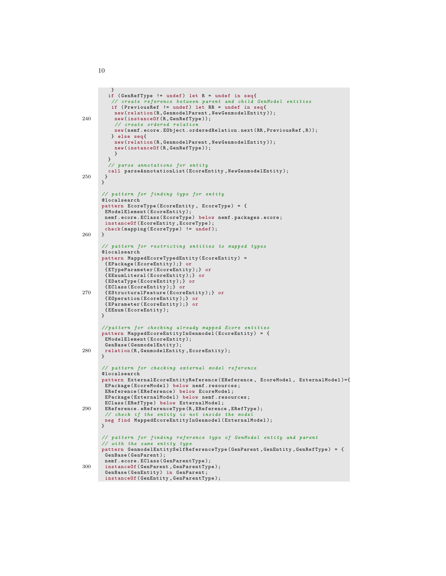```
}
if ( GenRefType != undef ) let R = undef in seq {
         // create reference between parent and child GenModel entities
         if ( PreviousRef != undef ) let RR = undef in seq{
          new ( relation (R , GenmodelParent , NewGenmodelEntity ));
240 new (instanceOf (R, GenRefType));
           // create ordered relation
          new ( nemf . ecore . EObject . orderedRelation . next (RR , PreviousRef ,R ));
         } else seq {
          new ( relation (R , GenmodelParent , NewGenmodelEntity ));
          new ( instanceOf (R , GenRefType ));
          }
        }
        // parse annotations for entity
       call parseAnnotationList (EcoreEntity, NewGenmodelEntity);<br>}
250 }
      }
      // pattern for finding type for entity
      @localsearch
      pattern EcoreType ( EcoreEntity , EcoreType ) = {
       EModelElement (EcoreEntity);
       nemf. ecore. EClass (EcoreType) below nemf. packages. ecore;
       instanceOf ( EcoreEntity , EcoreType );
       check (mapping (EcoreType) != undef);
260 }
       // pattern for restricting entities to mapped types
      @localsearch
      pattern MappedEcoreTypedEntity ( EcoreEntity ) =
       { EPackage ( EcoreEntity );} or
       { ETypeParameter ( EcoreEntity );} or
       { EEnumLiteral ( EcoreEntity );} or
       { EDataType ( EcoreEntity );} or
       { EClass ( EcoreEntity );} or
270 { EStructuralFeature ( EcoreEntity );} or
       { EOperation ( EcoreEntity );} or
       { EParameter ( EcoreEntity );} or
       { EEnum ( EcoreEntity );
}
      // pattern for checking already mapped Ecore entities
      pattern MappedEcoreEntityInGenmodel ( EcoreEntity ) = {
       EModelElement ( EcoreEntity );
       GenBase ( GenmodelEntity );
280 relation (R , GenmodelEntity , EcoreEntity );
      }
       // pattern for checking external model reference
      @localsearch
      pattern ExternalEcoreEntityReference ( EReference , EcoreModel , ExternalModel )={
       EPackage (EcoreModel) below nemf.resources;
       EReference (EReference) below EcoreModel;
       EPackage (ExternalModel) below nemf.resources;
       EClass ( ERefType ) below ExternalModel ;
290 EReference . eReferenceType (R , EReference , ERefType );
       // check if the entity is not inside the model
      neg find MappedEcoreEntityInGenmodel ( ExternalModel );
      }
      // pattern for finding reference type of GenModel entity and parent
      // with the same entity type
      pattern GenmodelEntitySelfReferenceType ( GenParent , GenEntity , GenRefType ) = {
       GenBase ( GenParent );
       nemf . ecore . EClass ( GenParentType );
300 instanceOf ( GenParent , GenParentType );
       GenBase ( GenEntity ) in GenParent ;
     instanceOf ( GenEntity , GenParentType );
```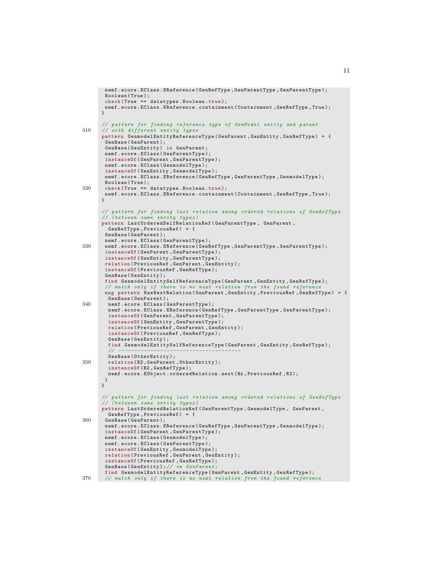```
nemf . ecore . EClass . EReference ( GenRefType , GenParentType , GenParentType );
        Boolean (True);
       check ( True == datatypes . Boolean . true );
       nemf . ecore . EClass . EReference . containment ( Containment , GenRefType , True );
       }
       // pattern for finding reference type of GenModel entity and parent
310 // with different entity types
       pattern GenmodelEntityReferenceType ( GenParent , GenEntity , GenRefType ) = {
        GenBase ( GenParent );
       GenBase ( GenEntity ) in GenParent ;
       nemf . ecore . EClass ( GenParentType );
       instanceOf ( GenParent , GenParentType );
       nemf . ecore . EClass ( GenmodelType );
       instanceOf ( GenEntity , GenmodelType );
       nemf . ecore . EClass . EReference ( GenRefType , GenParentType , GenmodelType );
Boolean ( True );
320 check ( True == datatypes . Boolean . true );
       nemf . ecore . EClass . EReference . containment ( Containment , GenRefType , True );
      }
       // pattern for finding last relation among ordered relations of GenRefType
       // ( between same entity types )
       pattern LastOrderedSelfRelationRef ( GenParentType , GenParent ,
         GenRefType , PreviousRef ) = {
       GenBase ( GenParent );
       nemf . ecore . EClass ( GenParentType );
330 nemf . ecore . EClass . EReference ( GenRefType , GenParentType , GenParentType );
       instanceOf ( GenParent , GenParentType );
        instanceOf ( GenEntity , GenParentType );
       relation ( PreviousRef , GenParent , GenEntity );
        instanceOf ( PreviousRef , GenRefType );
       GenBase ( GenEntity );
       find GenmodelEntitySelfReferenceType ( GenParent , GenEntity , GenRefType );
        // match only if there is no next relation from the found reference
       neg pattern HasNextRelation ( GenParent , GenEntity , PreviousRef , GenRefType ) = {
         GenBase ( GenParent );
340 nemf . ecore . EClass ( GenParentType );
         nemf . ecore . EClass . EReference ( GenRefType , GenParentType , GenParentType );
         instanceOf ( GenParent , GenParentType );
         instanceOf ( GenEntity , GenParentType );
         relation ( PreviousRef , GenParent , GenEntity );
         instanceOf ( PreviousRef , GenRefType );
         GenBase ( GenEntity );
         find GenmodelEntitySelfReferenceType ( GenParent , GenEntity , GenRefType );
         // - - - - - - - - - - - - - - - - - - - - - - - - - - - - - - - - - - - - - -
         GenBase ( OtherEntity );
350 relation ( R2 , GenParent , OtherEntity );
         instanceOf (R2 , GenRefType );
        nemf . ecore . EObject . orderedRelation . next (Rx , PreviousRef , R2 );
       }
      }
       // pattern for finding last relation among ordered relations of GenRefType
       // ( between same entity types )
       pattern LastOrderedRelationRef ( GenParentType , GenmodelType , GenParent ,
         GenRefType , PreviousRef ) = {
360 GenBase ( GenParent );
       nemf . ecore . EClass . EReference ( GenRefType , GenParentType , GenmodelType );
       instanceOf ( GenParent , GenParentType );
       nemf . ecore . EClass ( GenmodelType );
       nemf . ecore . EClass ( GenParentType );
        instanceOf ( GenEntity , GenmodelType );
       relation ( PreviousRef , GenParent , GenEntity );
        instanceOf ( PreviousRef , GenRefType );
        GenBase ( GenEntity ); // in GenParent ;
       find GenmodelEntityReferenceType ( GenParent , GenEntity , GenRefType );
370 // match only if there is no next relation from the found reference
```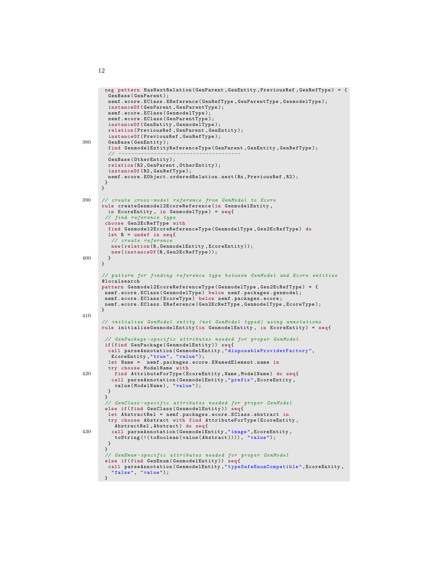```
neg pattern HasNextRelation ( GenParent , GenEntity , PreviousRef , GenRefType ) = {
         GenBase ( GenParent );
         nemf . ecore . EClass . EReference ( GenRefType , GenParentType , GenmodelType );
         instanceOf ( GenParent , GenParentType );
         nemf . ecore . EClass ( GenmodelType );
         nemf . ecore . EClass ( GenParentType );
         instanceOf ( GenEntity , GenmodelType );
         relation ( PreviousRef , GenParent , GenEntity );
         instanceOf ( PreviousRef , GenRefType );
380 GenBase ( GenEntity );
         find GenmodelEntityReferenceType ( GenParent , GenEntity , GenRefType );
         // - - - - - - - - - - - - - - - - - - - - - - - - - - - - - - - - - - - - - -
         GenBase ( OtherEntity );
         relation ( R2 , GenParent , OtherEntity );
         instanceOf (R2 , GenRefType );
        nemf . ecore . EObject . orderedRelation . next (Rx , PreviousRef , R2 );
       }
       }
390 // create cross - model reference from GenModel to Ecore
       rule createGenmodel2EcoreReference (in GenmodelEntity ,
        in EcoreEntity, in GenmodelType) = seq{
        // find reference type
        choose Gen2EcRefType with
         find Genmodel2EcoreReferenceType ( GenmodelType , Gen2EcRefType ) do
         let R = undef in seq{
          // create reference
          new ( relation (R , GenmodelEntity , EcoreEntity ));
          new (instanceOf (R, Gen2EcRefType));
400 }
      }
       // pattern for finding reference type between GenModel and Ecore entities
       @localsearch
       pattern Genmodel2EcoreReferenceType ( GenmodelType , Gen2EcRefType ) = {
        nemf . ecore . EClass ( GenmodelType ) below nemf . packages . genmodel ;
       nemf . ecore . EClass ( EcoreType ) below nemf . packages . ecore ;
       nemf . ecore . EClass . EReference ( Gen2EcRefType , GenmodelType , EcoreType );
      }
410
       // initialize GenModel entity (not GenModel typed) using annotations
       rule initialiseGenmodelEntity (in GenmodelEntity , in EcoreEntity ) = seq{
         // GenPackage - specific attributes needed for proper GenModel
        if( find GenPackage ( GenmodelEntity )) seq {
         call parseAnnotation ( GenmodelEntity ," disposableProviderFactory ",
         EcoreEntity ," true ", " value ");
let Name = nemf . packages . ecore . ENamedElement . name in
         try choose ModelName with
420 find AttributeForType ( EcoreEntity , Name , ModelName ) do seq{
          call parseAnnotation ( GenmodelEntity ," prefix ", EcoreEntity ,
           value (ModelName), "value");
        }
        }
        // GenClass - specific attributes needed for proper GenModel
        else if( find GenClass ( GenmodelEntity )) seq {
         let AbstractRel = nemf . packages . ecore . EClass . abstract in
         try choose Abstract with find AttributeForType ( EcoreEntity ,
           AbstractRel , Abstract ) do seq {
430 call parseAnnotation ( GenmodelEntity ," image ", EcoreEntity ,
toString (!( toBoolean ( value ( Abstract )))) , " value ");
        }
        }
        // GenEnum - specific attributes needed for proper GenModel
        else if( find GenEnum ( GenmodelEntity )) seq {
        call parseAnnotation ( GenmodelEntity ," typeSafeEnumCompatible ", EcoreEntity ,
          " false", "value");
      }
```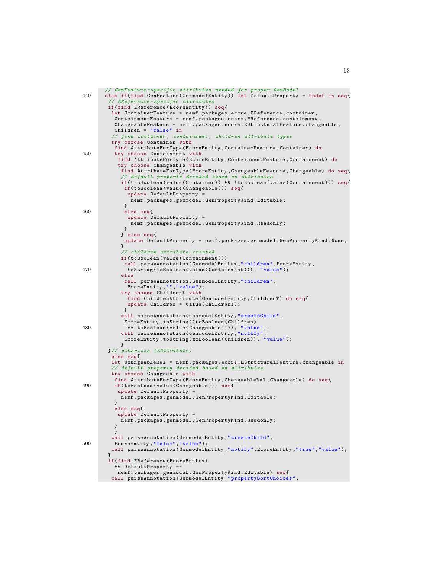```
// GenFeature - specific attributes needed for proper GenModel
440 else if( find GenFeature ( GenmodelEntity )) let DefaultProperty = undef in seq {
         // EReference - specific attributes
         if( find EReference ( EcoreEntity )) seq {
          let ContainerFeature = nemf . packages . ecore . EReference . container ,
           ContainmentFeature = nemf . packages . ecore . EReference . containment ,
           ChangeableFeature = nemf . packages . ecore . EStructuralFeature . changeable ,
           Children = "false" in
          // find container , containment , children attribute types
          try choose Container with
           find AttributeForType ( EcoreEntity , ContainerFeature , Container ) do
450 try choose Containment with
             find AttributeForType (EcoreEntity, ContainmentFeature, Containment) do
             try choose Changeable with
             find AttributeForType ( EcoreEntity , ChangeableFeature , Changeable ) do seq{
                default property decided based on attr
             if (! toBoolean ( value ( Container )) && ! toBoolean ( value ( Containment ))) seq {
               if( toBoolean ( value ( Changeable ))) seq {
                update DefaultProperty =
                 nemf . packages . genmodel . GenPropertyKind . Editable ;
               }
460 else seq {
                update DefaultProperty =
                 nemf . packages . genmodel . GenPropertyKind . Readonly ;
               }
             } else seq {
              update DefaultProperty = nemf . packages . genmodel . GenPropertyKind . None ;
             }
              // children attribute created
              if( toBoolean ( value ( Containment )))
              call parseAnnotation ( GenmodelEntity ," children ", EcoreEntity ,
470 toString ( toBoolean ( value ( Containment ))) , " value ");
              else
               call parseAnnotation ( GenmodelEntity ," children ",
               EcoreEntity, "", "value");
              try choose ChildrenT with
                find ChildrenAttribute ( GenmodelEntity, ChildrenT) do seq{
                update Children = value ( ChildrenT );
               }
              call parseAnnotation ( GenmodelEntity ," createChild ",
               EcoreEntity , toString (( toBoolean ( Children )
480 && toBoolean ( value ( Changeable )))) , " value ");
call parseAnnotation ( GenmodelEntity ," notify ",
EcoreEntity , toString ( toBoolean ( Children )) , " value ");
             \mathbf{r}}// otherwise ( EAttribute )
          else seq {
          let ChangeableRel = nemf . packages . ecore . EStructuralFeature . changeable in
           // default property decided based on attributes
          try choose Changeable with
           find AttributeForType ( EcoreEntity , ChangeableRel , Changeable ) do seq {
490 if( toBoolean ( value ( Changeable ))) seq {
            update DefaultProperty =
             nemf . packages . genmodel . GenPropertyKind . Editable ;
           }
           else seq {
            update DefaultProperty =
             nemf . packages . genmodel . GenPropertyKind . Readonly ;
           }
           }
call parseAnnotation ( GenmodelEntity ," createChild ",
500 EcoreEntity ," false "," value ");
          call parseAnnotation ( GenmodelEntity ," notify ", EcoreEntity ," true "," value ");
         }
         if( find EReference ( EcoreEntity )
           && DefaultProperty ==
            nemf . packages . genmodel . GenPropertyKind . Editable ) seq {
          call parseAnnotation ( GenmodelEntity ," propertySortChoices ",
```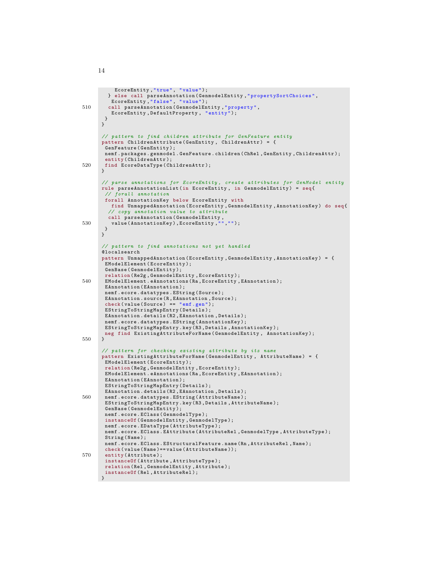```
EcoreEntity ," true ", " value ");
         } else call parseAnnotation ( GenmodelEntity ," propertySortChoices ",
          EcoreEntity, "false", "value");
510 call parseAnnotation ( GenmodelEntity ," property ",
          EcoreEntity , DefaultProperty , " entity ");
       }
      }
       // pattern to find children attribute for GenFeature entity
       pattern ChildrenAttribute ( GenEntity , ChildrenAttr ) = {
        GenFeature ( GenEntity );
       nemf . packages . genmodel . GenFeature . children ( ChRel , GenEntity , ChildrenAttr );
       entity (ChildrenAttr);
520 find EcoreDataType ( ChildrenAttr );
       }
       // parse annotations for EcoreEntity , create attributes for GenModel entity
       rule parseAnnotationList (in EcoreEntity , in GenmodelEntity ) = seq {
        // forall annotation
        forall AnnotationKey below EcoreEntity with
         find UnmappedAnnotation (EcoreEntity, GenmodelEntity, AnnotationKey) do seq{<br>// copy annotation value to attribute
// copy annotation value to attribute
call parseAnnotation ( GenmodelEntity ,
530 value ( AnnotationKey ), EcoreEntity ,"","");
       }
       }
       // pattern to find annotations not yet handled
       @localsearch
       pattern UnmappedAnnotation ( EcoreEntity , GenmodelEntity , AnnotationKey ) = {
        EModelElement ( EcoreEntity );
        GenBase ( GenmodelEntity );
        relation ( Re2g , GenmodelEntity , EcoreEntity );
540 EModelElement . eAnnotations (Ra , EcoreEntity , EAnnotation );
        EAnnotation (EAnnotation);
        nemf . ecore . datatypes . EString ( Source );
        EAnnotation . source (R , EAnnotation , Source );
        check ( value ( Source ) == " emf . gen" );
        EStringToStringMapEntry ( Details );
        EAnnotation . details (R2 , EAnnotation , Details );
        nemf . ecore . datatypes . EString ( AnnotationKey );
        EStringToStringMapEntry . key (R3 , Details , AnnotationKey );
       neg find ExistingAttributeForName ( GenmodelEntity , AnnotationKey );
550 }
       // pattern for checking existing attribute by its name
       pattern ExistingAttributeForName ( GenmodelEntity , AttributeName ) = {
        EModelElement ( EcoreEntity );
        relation ( Re2g , GenmodelEntity , EcoreEntity );
        EModelElement . eAnnotations (Ra , EcoreEntity , EAnnotation );
        EAnnotation (EAnnotation);
        EStringToStringMapEntry ( Details );
        EAnnotation . details (R2 , EAnnotation , Details );
560 nemf . ecore . datatypes . EString ( AttributeName );
        EStringToStringMapEntry . key (R3, Details, AttributeName);
        GenBase (GenmodelEntity);
        nemf . ecore . EClass ( GenmodelType );
        instanceOf ( GenmodelEntity , GenmodelType );
        nemf . ecore . EDataType ( AttributeType );
        nemf.ecore.EClass.EAttribute(AttributeRel,GenmodelType,AttributeType);
        String (Name);
        nemf . ecore . EClass . EStructuralFeature . name (Rn , AttributeRel , Name );
        check (value (Name) == value (AttributeName));
570 entity (Attribute);
        instanceOf ( Attribute , AttributeType );
        relation ( Rel , GenmodelEntity , Attribute );
        instanceOf (Rel, AttributeRel);
     }
```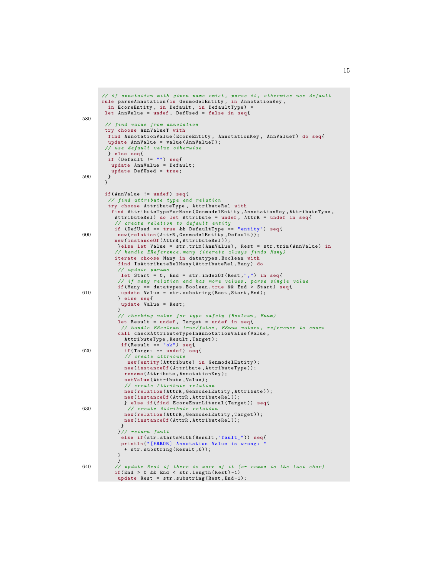```
// if annotation with given name exist, parse it, otherwise use default
      rule parseAnnotation (in GenmodelEntity , in AnnotationKey ,
         in EcoreEntity, in Default, in DefaultType) =
       let AnnValue = undef , DefUsed = false in seq {
580
        // find value from annotation
       try choose AnnValueT with
         find AnnotationValue(EcoreEntity, AnnotationKey, AnnValueT) do seq{<br>update AnnValue = value(AnnValueT);
        // use default value otherwise
         } else seq {
         if ( Default != "") seq{
          update AnnValue = Default ;
         update DefUsed = true ;
590 }
       }
        if( AnnValue != undef ) seq {
         // find attribute type and relation
         try choose AttributeType , AttributeRel with
          find AttributeTypeForName ( GenmodelEntity , AnnotationKey , AttributeType ,
           AttributeRel) do let Attribute = undef, AttrR = undef in seq{
              create relation to default entity
           if ( DefUsed == true && DefaultType == " entity ") seq {
600 new ( relation ( AttrR , GenmodelEntity , Default ));
           new (instanceOf (AttrR, AttributeRel));
            } else let Value = str . trim ( AnnValue ), Rest = str . trim ( AnnValue ) in
           // handle EReference . many ( iterate always finds Many )
           iterate choose Many in datatypes . Boolean with
            find IsAttributeRelMany ( AttributeRel , Many ) do
            // update params
             let Start = 0, End = str.indexOf (Rest,",") in seq{
             // if many relation and has more values, parse single value<br>if(Many == datatypes.Boolean.true && End > Start) seq{
610 update Value = str . substring ( Rest , Start , End );
            } else seq {
             update Value = Rest ;
            }
            // checking value for type safety (Boolean, Enum)
             let Result = undef, Target = undef in seq{<br>// handle EBoolean true/false, EEnum values, reference to enums
            call checkAttributeTypeInAnnotationValue ( Value ,
              AttributeType, Result, Target);<br>if (Result == "ok") seq{
620 if (Target == undef) seq{
              // create attribute
               new ( entity ( Attribute ) in GenmodelEntity );
              new ( instanceOf ( Attribute , AttributeType ));
              rename ( Attribute , AnnotationKey );
              setValue ( Attribute , Value );
               // create Attribute relation
              new ( relation ( AttrR , GenmodelEntity , Attribute ));
              new (instanceOf (AttrR, AttributeRel));
              } else if( find EcoreEnumLiteral ( Target )) seq {
630 // create Attribute relation
              new ( relation ( AttrR , GenmodelEntity , Target ));
              new (instanceOf (AttrR, AttributeRel));
             }
            }// return fault
             else if(str.startsWith(Result,"fault_")) seq{
             println ("[ERROR] Annotation Value is wrong:
              + str . substring ( Result ,6));
            }
}
640 // update Rest if there is more of it (or comma is the last char )
           if(End > 0 \& k \text{ End} < str.length(Rest) - 1)update Rest = str. substring (Rest, End+1);
```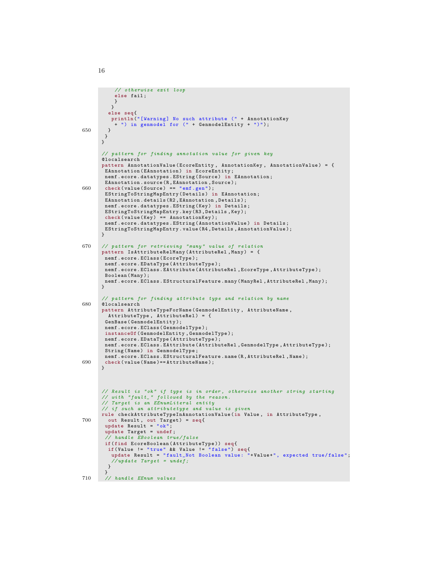```
// otherwise exit loop
           else fail ;
          }
          }
         else seq {
         println ("[Warning] No such attribute (" + AnnotationKey
           + ") in genmodel for (" + GenmodelEntity + ")");
650 }
       }
      }
       // pattern for finding annotation value for given key
      @localsearch
      pattern AnnotationValue (EcoreEntity, AnnotationKey, AnnotationValue) = {
        EAnnotation ( EAnnotation ) in EcoreEntity ;
nemf . ecore . datatypes . EString ( Source ) in EAnnotation ;
       EAnnotation . source (R , EAnnotation , Source );
660 check (value (Source) == "emf. gen");
       EStringToStringMapEntry ( Details ) in EAnnotation ;
       EAnnotation . details (R2 , EAnnotation , Details );
       nemf.ecore.datatypes.EString (Key) in Details;
       EStringToStringMapEntry . key (R3 , Details , Key );
       check ( value ( Key ) == Annotation Key );
       nemf . ecore . datatypes . EString ( AnnotationValue ) in Details ;
       EStringToStringMapEntry . value (R4 , Details , AnnotationValue );
      }
670 // pattern for retrieving " many " value of relation
      pattern IsAttributeRelMany (AttributeRel, Many) = {
       nemf.ecore.EClass(EcoreType);
       nemf . ecore . EDataType ( AttributeType );
       nemf . ecore . EClass . EAttribute ( AttributeRel , EcoreType , AttributeType );
       Boolean ( Many );
       nemf . ecore . EClass . EStructuralFeature . many ( ManyRel , AttributeRel , Many );
      }
       // pattern for finding attribute type and relation by name
680 @localsearch
      pattern AttributeTypeForName ( GenmodelEntity , AttributeName ,
        AttributeType , AttributeRel ) = {
       GenBase ( GenmodelEntity );
       nemf . ecore . EClass ( GenmodelType );
       instanceOf ( GenmodelEntity , GenmodelType );
       nemf . ecore . EDataType ( AttributeType );
       nemf . ecore . EClass . EAttribute ( AttributeRel , GenmodelType , AttributeType );
       String ( Name ) in GenmodelType ;
       nemf . ecore . EClass . EStructuralFeature . name (R , AttributeRel , Name );
690 check (value (Name) == AttributeName);
      }
      // Result is "ok" if type is in order, otherwise another string starting
      // with "fault_" followed by the reason.
      // Target is an EEnumLiteral entity
       // if such an attributetype and value is given
      rule checkAttributeTypeInAnnotationValue (in Value , in AttributeType ,
700 out Result, out Target) = seq{
        update Result = "ok";update Target = undef ;
        // handle EBoolean true / false
       if( find EcoreBoolean ( AttributeType )) seq {
         if( Value != " true " && Value != " false ") seq {
update Result = " fault_Not Boolean value : "+ Value +", expected true / false ";
          // update Target = under;}
        }
710 // handle EEnum values
```